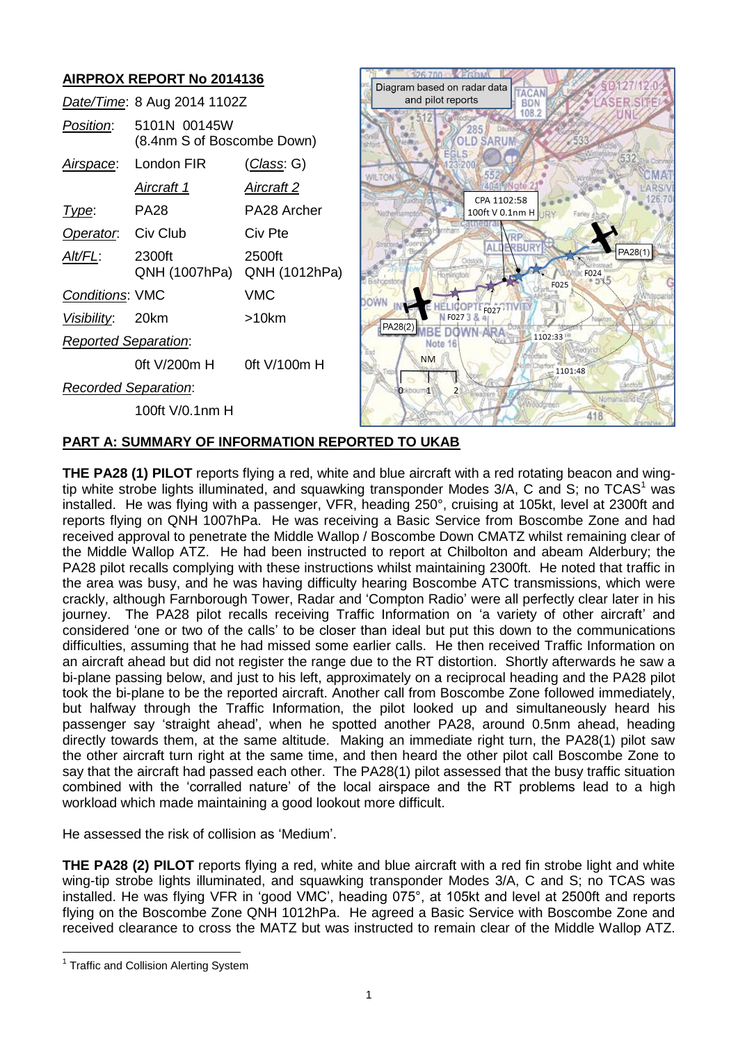# **AIRPROX REPORT No 2014136**

|                             | Date/Time: 8 Aug 2014 1102Z                |                    |
|-----------------------------|--------------------------------------------|--------------------|
| <i>Position</i> :           | 5101N 00145W<br>(8.4nm S of Boscombe Down) |                    |
|                             | Airspace: London FIR                       | <u>(Class</u> : G) |
|                             | Aircraft 1                                 | Aircraft 2         |
| Type:                       | <b>PA28</b>                                | PA28 Archer        |
| Operator. Civ Club          |                                            | Civ Pte            |
| Alt/FL:                     | 2300ft<br>QNH (1007hPa) QNH (1012hPa)      | 2500ft             |
| <b>Conditions: VMC</b>      |                                            | VMC                |
| Visibility: 20km            |                                            | >10km              |
| <b>Reported Separation:</b> |                                            |                    |
|                             | 0ft V/200m H                               | 0ft $V/100m$ H     |
| <b>Recorded Separation:</b> |                                            |                    |
|                             | 100ft V/0.1nm H                            |                    |



## **PART A: SUMMARY OF INFORMATION REPORTED TO UKAB**

**THE PA28 (1) PILOT** reports flying a red, white and blue aircraft with a red rotating beacon and wingtip white strobe lights illuminated, and squawking transponder Modes  $3/A$ , C and S; no TCAS<sup>1</sup> was installed. He was flying with a passenger, VFR, heading 250°, cruising at 105kt, level at 2300ft and reports flying on QNH 1007hPa. He was receiving a Basic Service from Boscombe Zone and had received approval to penetrate the Middle Wallop / Boscombe Down CMATZ whilst remaining clear of the Middle Wallop ATZ. He had been instructed to report at Chilbolton and abeam Alderbury; the PA28 pilot recalls complying with these instructions whilst maintaining 2300ft. He noted that traffic in the area was busy, and he was having difficulty hearing Boscombe ATC transmissions, which were crackly, although Farnborough Tower, Radar and 'Compton Radio' were all perfectly clear later in his journey. The PA28 pilot recalls receiving Traffic Information on 'a variety of other aircraft' and considered 'one or two of the calls' to be closer than ideal but put this down to the communications difficulties, assuming that he had missed some earlier calls. He then received Traffic Information on an aircraft ahead but did not register the range due to the RT distortion. Shortly afterwards he saw a bi-plane passing below, and just to his left, approximately on a reciprocal heading and the PA28 pilot took the bi-plane to be the reported aircraft. Another call from Boscombe Zone followed immediately, but halfway through the Traffic Information, the pilot looked up and simultaneously heard his passenger say 'straight ahead', when he spotted another PA28, around 0.5nm ahead, heading directly towards them, at the same altitude. Making an immediate right turn, the PA28(1) pilot saw the other aircraft turn right at the same time, and then heard the other pilot call Boscombe Zone to say that the aircraft had passed each other. The PA28(1) pilot assessed that the busy traffic situation combined with the 'corralled nature' of the local airspace and the RT problems lead to a high workload which made maintaining a good lookout more difficult.

He assessed the risk of collision as 'Medium'.

**THE PA28 (2) PILOT** reports flying a red, white and blue aircraft with a red fin strobe light and white wing-tip strobe lights illuminated, and squawking transponder Modes 3/A, C and S; no TCAS was installed. He was flying VFR in 'good VMC', heading 075°, at 105kt and level at 2500ft and reports flying on the Boscombe Zone QNH 1012hPa. He agreed a Basic Service with Boscombe Zone and received clearance to cross the MATZ but was instructed to remain clear of the Middle Wallop ATZ.

 $\overline{a}$ 

<sup>&</sup>lt;sup>1</sup> Traffic and Collision Alerting System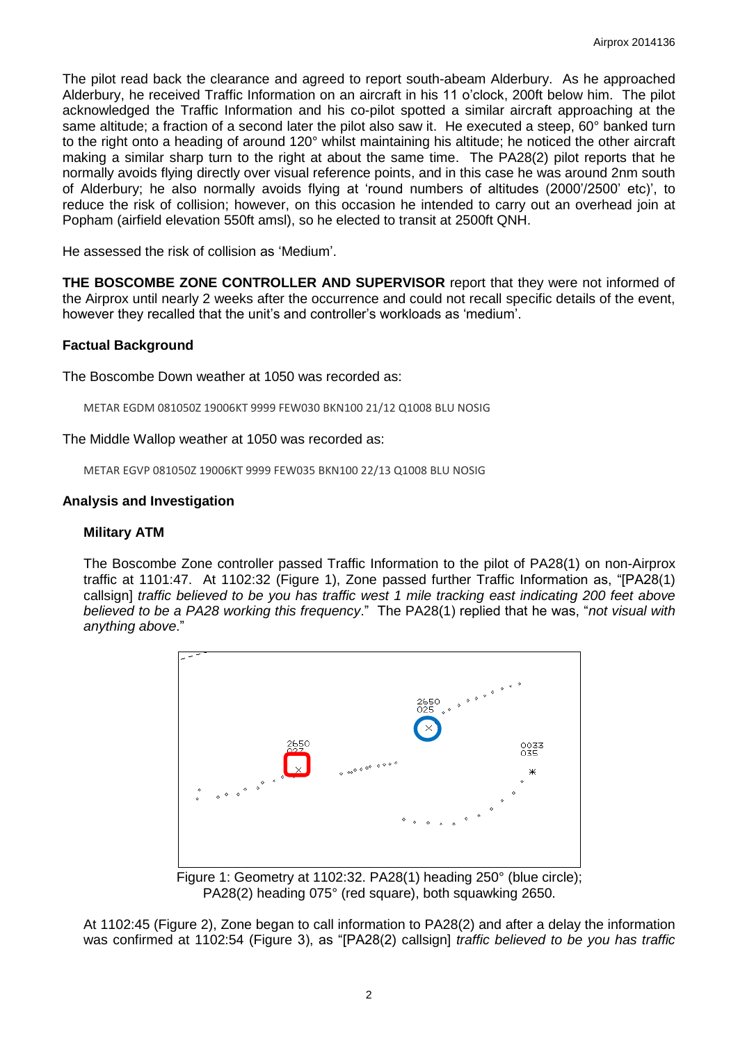The pilot read back the clearance and agreed to report south-abeam Alderbury. As he approached Alderbury, he received Traffic Information on an aircraft in his 11 o'clock, 200ft below him. The pilot acknowledged the Traffic Information and his co-pilot spotted a similar aircraft approaching at the same altitude; a fraction of a second later the pilot also saw it. He executed a steep, 60° banked turn to the right onto a heading of around 120° whilst maintaining his altitude; he noticed the other aircraft making a similar sharp turn to the right at about the same time. The PA28(2) pilot reports that he normally avoids flying directly over visual reference points, and in this case he was around 2nm south of Alderbury; he also normally avoids flying at 'round numbers of altitudes (2000'/2500' etc)', to reduce the risk of collision; however, on this occasion he intended to carry out an overhead join at Popham (airfield elevation 550ft amsl), so he elected to transit at 2500ft QNH.

He assessed the risk of collision as 'Medium'.

**THE BOSCOMBE ZONE CONTROLLER AND SUPERVISOR** report that they were not informed of the Airprox until nearly 2 weeks after the occurrence and could not recall specific details of the event, however they recalled that the unit's and controller's workloads as 'medium'.

### **Factual Background**

The Boscombe Down weather at 1050 was recorded as:

METAR EGDM 081050Z 19006KT 9999 FEW030 BKN100 21/12 Q1008 BLU NOSIG

The Middle Wallop weather at 1050 was recorded as:

METAR EGVP 081050Z 19006KT 9999 FEW035 BKN100 22/13 Q1008 BLU NOSIG

### **Analysis and Investigation**

#### **Military ATM**

The Boscombe Zone controller passed Traffic Information to the pilot of PA28(1) on non-Airprox traffic at 1101:47. At 1102:32 (Figure 1), Zone passed further Traffic Information as, "[PA28(1) callsign] *traffic believed to be you has traffic west 1 mile tracking east indicating 200 feet above believed to be a PA28 working this frequency*." The PA28(1) replied that he was, "*not visual with anything above*."



Figure 1: Geometry at 1102:32. PA28(1) heading 250° (blue circle); PA28(2) heading 075° (red square), both squawking 2650.

At 1102:45 (Figure 2), Zone began to call information to PA28(2) and after a delay the information was confirmed at 1102:54 (Figure 3), as "[PA28(2) callsign] *traffic believed to be you has traffic*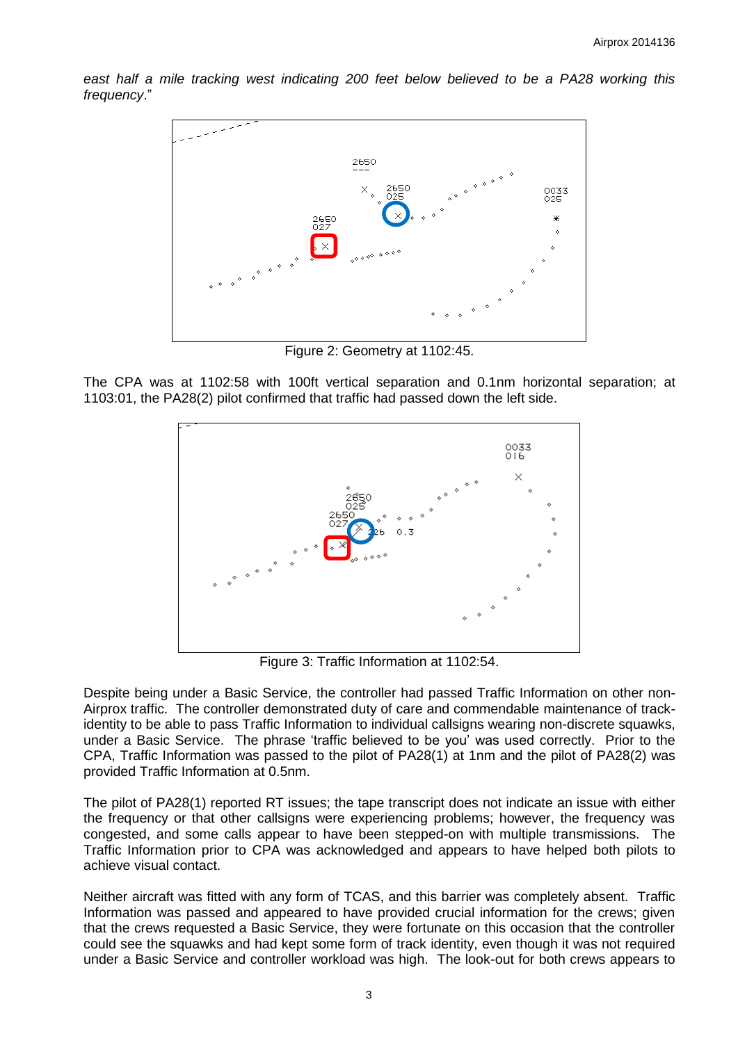east half a mile tracking west indicating 200 feet below believed to be a PA28 working this *frequency*."



Figure 2: Geometry at 1102:45.

The CPA was at 1102:58 with 100ft vertical separation and 0.1nm horizontal separation; at 1103:01, the PA28(2) pilot confirmed that traffic had passed down the left side.



Figure 3: Traffic Information at 1102:54.

Despite being under a Basic Service, the controller had passed Traffic Information on other non-Airprox traffic. The controller demonstrated duty of care and commendable maintenance of trackidentity to be able to pass Traffic Information to individual callsigns wearing non-discrete squawks, under a Basic Service. The phrase 'traffic believed to be you' was used correctly. Prior to the CPA, Traffic Information was passed to the pilot of PA28(1) at 1nm and the pilot of PA28(2) was provided Traffic Information at 0.5nm.

The pilot of PA28(1) reported RT issues; the tape transcript does not indicate an issue with either the frequency or that other callsigns were experiencing problems; however, the frequency was congested, and some calls appear to have been stepped-on with multiple transmissions. The Traffic Information prior to CPA was acknowledged and appears to have helped both pilots to achieve visual contact.

Neither aircraft was fitted with any form of TCAS, and this barrier was completely absent. Traffic Information was passed and appeared to have provided crucial information for the crews; given that the crews requested a Basic Service, they were fortunate on this occasion that the controller could see the squawks and had kept some form of track identity, even though it was not required under a Basic Service and controller workload was high. The look-out for both crews appears to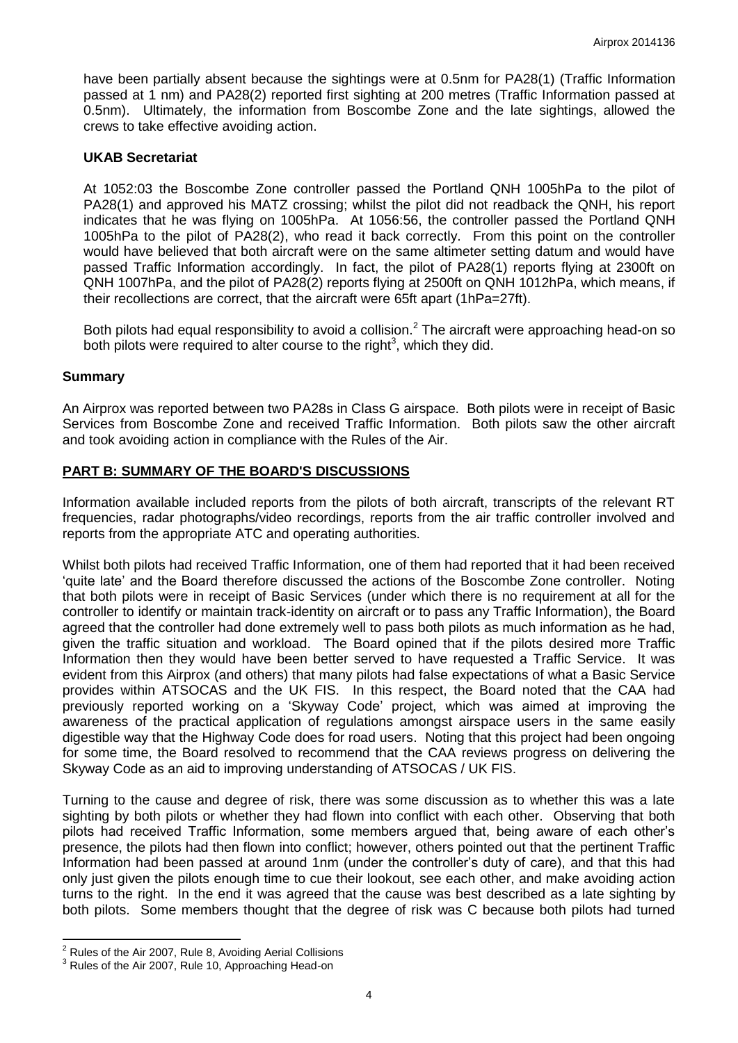have been partially absent because the sightings were at 0.5nm for PA28(1) (Traffic Information passed at 1 nm) and PA28(2) reported first sighting at 200 metres (Traffic Information passed at 0.5nm). Ultimately, the information from Boscombe Zone and the late sightings, allowed the crews to take effective avoiding action.

### **UKAB Secretariat**

At 1052:03 the Boscombe Zone controller passed the Portland QNH 1005hPa to the pilot of PA28(1) and approved his MATZ crossing; whilst the pilot did not readback the QNH, his report indicates that he was flying on 1005hPa. At 1056:56, the controller passed the Portland QNH 1005hPa to the pilot of PA28(2), who read it back correctly. From this point on the controller would have believed that both aircraft were on the same altimeter setting datum and would have passed Traffic Information accordingly. In fact, the pilot of PA28(1) reports flying at 2300ft on QNH 1007hPa, and the pilot of PA28(2) reports flying at 2500ft on QNH 1012hPa, which means, if their recollections are correct, that the aircraft were 65ft apart (1hPa=27ft).

Both pilots had equal responsibility to avoid a collision.<sup>2</sup> The aircraft were approaching head-on so both pilots were required to alter course to the right<sup>3</sup>, which they did.

### **Summary**

An Airprox was reported between two PA28s in Class G airspace. Both pilots were in receipt of Basic Services from Boscombe Zone and received Traffic Information. Both pilots saw the other aircraft and took avoiding action in compliance with the Rules of the Air.

### **PART B: SUMMARY OF THE BOARD'S DISCUSSIONS**

Information available included reports from the pilots of both aircraft, transcripts of the relevant RT frequencies, radar photographs/video recordings, reports from the air traffic controller involved and reports from the appropriate ATC and operating authorities.

Whilst both pilots had received Traffic Information, one of them had reported that it had been received 'quite late' and the Board therefore discussed the actions of the Boscombe Zone controller. Noting that both pilots were in receipt of Basic Services (under which there is no requirement at all for the controller to identify or maintain track-identity on aircraft or to pass any Traffic Information), the Board agreed that the controller had done extremely well to pass both pilots as much information as he had, given the traffic situation and workload. The Board opined that if the pilots desired more Traffic Information then they would have been better served to have requested a Traffic Service. It was evident from this Airprox (and others) that many pilots had false expectations of what a Basic Service provides within ATSOCAS and the UK FIS. In this respect, the Board noted that the CAA had previously reported working on a 'Skyway Code' project, which was aimed at improving the awareness of the practical application of regulations amongst airspace users in the same easily digestible way that the Highway Code does for road users. Noting that this project had been ongoing for some time, the Board resolved to recommend that the CAA reviews progress on delivering the Skyway Code as an aid to improving understanding of ATSOCAS / UK FIS.

Turning to the cause and degree of risk, there was some discussion as to whether this was a late sighting by both pilots or whether they had flown into conflict with each other. Observing that both pilots had received Traffic Information, some members argued that, being aware of each other's presence, the pilots had then flown into conflict; however, others pointed out that the pertinent Traffic Information had been passed at around 1nm (under the controller's duty of care), and that this had only just given the pilots enough time to cue their lookout, see each other, and make avoiding action turns to the right. In the end it was agreed that the cause was best described as a late sighting by both pilots. Some members thought that the degree of risk was C because both pilots had turned

 $\overline{\phantom{a}}$ 

 $2<sup>2</sup>$  Rules of the Air 2007, Rule 8, Avoiding Aerial Collisions

 $3$  Rules of the Air 2007, Rule 10, Approaching Head-on